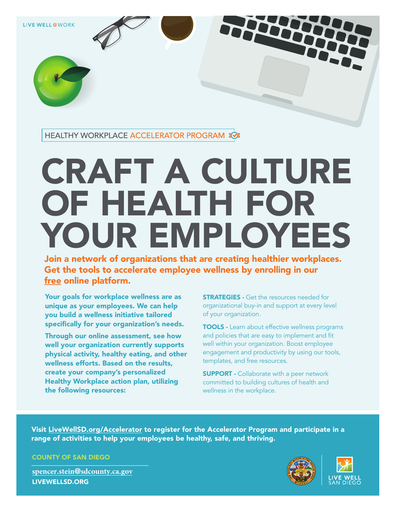LIVE WELL @WORK

HEALTHY WORKPLACE ACCELERATOR PROGRAM XX

## CRAFT A CULTURE OF HEALTH FOR YOUR EMPLOYEES

Join a network of organizations that are creating healthier workplaces. Get the tools to accelerate employee wellness by enrolling in our free online platform.

Your goals for workplace wellness are as unique as your employees. We can help you build a wellness initiative tailored specifically for your organization's needs.

Through our online assessment, see how well your organization currently supports physical activity, healthy eating, and other wellness efforts. Based on the results, create your company's personalized Healthy Workplace action plan, utilizing the following resources:

**STRATEGIES** - Get the resources needed for organizational buy-in and support at every level of your organization.

TOOLS - Learn about effective wellness programs and policies that are easy to implement and fit well within your organization. Boost employee engagement and productivity by using our tools, templates, and free resources.

**SUPPORT - Collaborate with a peer network** committed to building cultures of health and wellness in the workplace.

Visit [LiveWellSD.org/Accelerator t](https://www.livewellsd.org/content/livewell/home/Topics/worksite-wellness/LWatW/workplace-accelerator.html)o register for the Accelerator Program and participate in a range of activities to help your employees be healthy, safe, and thriving.

COUNTY OF SAN DIEGO

**spencer.stein**@**[sdcounty.ca.gov](mailto:spencer.stein@sdcounty.ca.gov)** [LIVEWELLSD.ORG](https://www.livewellsd.org/content/livewell/home.html)